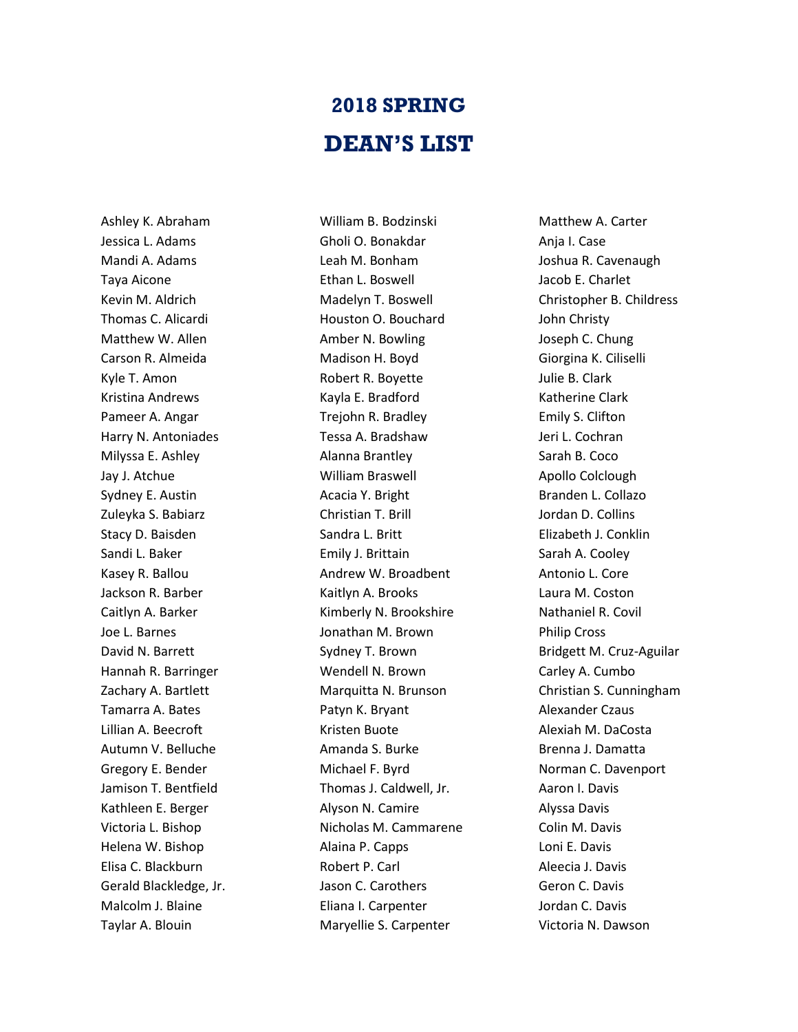## **2018 SPRING DEAN'S LIST**

Ashley K. Abraham Jessica L. Adams Mandi A. Adams Taya Aicone Kevin M. Aldrich Thomas C. Alicardi Matthew W. Allen Carson R. Almeida Kyle T. Amon Kristina Andrews Pameer A. Angar Harry N. Antoniades Milyssa E. Ashley Jay J. Atchue Sydney E. Austin Zuleyka S. Babiarz Stacy D. Baisden Sandi L. Baker Kasey R. Ballou Jackson R. Barber Caitlyn A. Barker Joe L. Barnes David N. Barrett Hannah R. Barringer Zachary A. Bartlett Tamarra A. Bates Lillian A. Beecroft Autumn V. Belluche Gregory E. Bender Jamison T. Bentfield Kathleen E. Berger Victoria L. Bishop Helena W. Bishop Elisa C. Blackburn Gerald Blackledge, Jr. Malcolm J. Blaine Taylar A. Blouin

William B. Bodzinski Gholi O. Bonakdar Leah M. Bonham Ethan L. Boswell Madelyn T. Boswell Houston O. Bouchard Amber N. Bowling Madison H. Boyd Robert R. Boyette Kayla E. Bradford Trejohn R. Bradley Tessa A. Bradshaw Alanna Brantley William Braswell Acacia Y. Bright Christian T. Brill Sandra L. Britt Emily J. Brittain Andrew W. Broadbent Kaitlyn A. Brooks Kimberly N. Brookshire Jonathan M. Brown Sydney T. Brown Wendell N. Brown Marquitta N. Brunson Patyn K. Bryant Kristen Buote Amanda S. Burke Michael F. Byrd Thomas J. Caldwell, Jr. Alyson N. Camire Nicholas M. Cammarene Alaina P. Capps Robert P. Carl Jason C. Carothers Eliana I. Carpenter Maryellie S. Carpenter

Matthew A. Carter Anja I. Case Joshua R. Cavenaugh Jacob E. Charlet Christopher B. Childress John Christy Joseph C. Chung Giorgina K. Ciliselli Julie B. Clark Katherine Clark Emily S. Clifton Jeri L. Cochran Sarah B. Coco Apollo Colclough Branden L. Collazo Jordan D. Collins Elizabeth J. Conklin Sarah A. Cooley Antonio L. Core Laura M. Coston Nathaniel R. Covil Philip Cross Bridgett M. Cruz-Aguilar Carley A. Cumbo Christian S. Cunningham Alexander Czaus Alexiah M. DaCosta Brenna J. Damatta Norman C. Davenport Aaron I. Davis Alyssa Davis Colin M. Davis Loni E. Davis Aleecia J. Davis Geron C. Davis Jordan C. Davis Victoria N. Dawson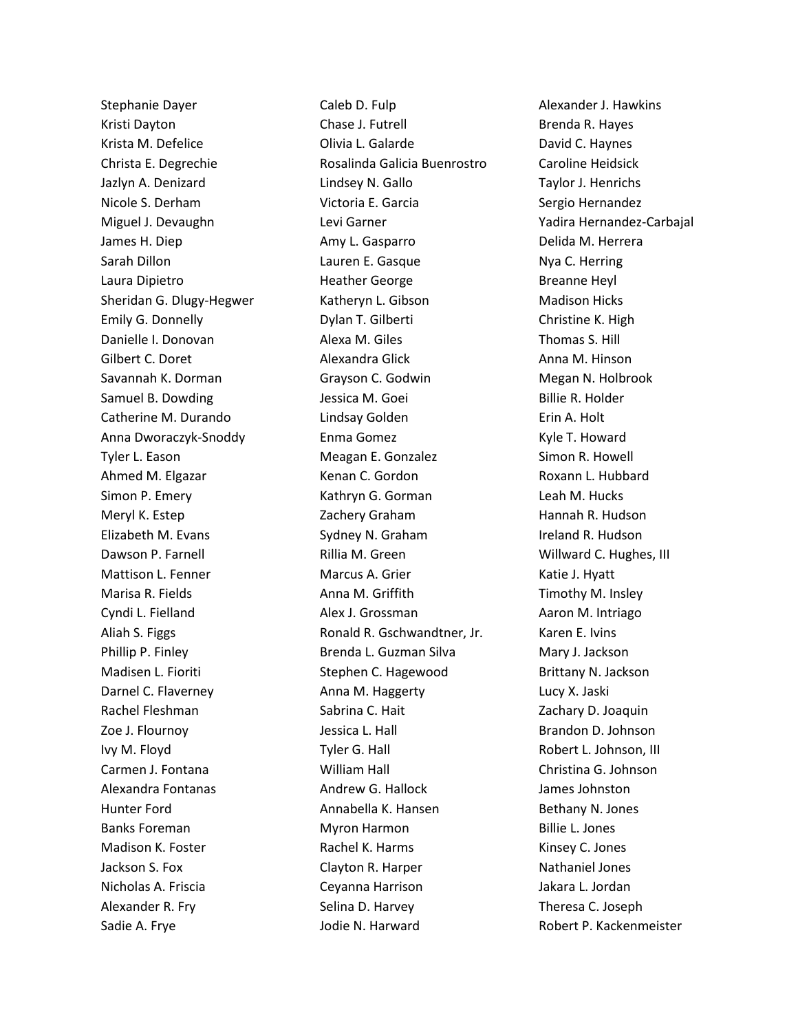Stephanie Dayer Kristi Dayton Krista M. Defelice Christa E. Degrechie Jazlyn A. Denizard Nicole S. Derham Miguel J. Devaughn James H. Diep Sarah Dillon Laura Dipietro Sheridan G. Dlugy-Hegwer Emily G. Donnelly Danielle I. Donovan Gilbert C. Doret Savannah K. Dorman Samuel B. Dowding Catherine M. Durando Anna Dworaczyk-Snoddy Tyler L. Eason Ahmed M. Elgazar Simon P. Emery Meryl K. Estep Elizabeth M. Evans Dawson P. Farnell Mattison L. Fenner Marisa R. Fields Cyndi L. Fielland Aliah S. Figgs Phillip P. Finley Madisen L. Fioriti Darnel C. Flaverney Rachel Fleshman Zoe J. Flournoy Ivy M. Floyd Carmen J. Fontana Alexandra Fontanas Hunter Ford Banks Foreman Madison K. Foster Jackson S. Fox Nicholas A. Friscia Alexander R. Fry Sadie A. Frye

Caleb D. Fulp Chase J. Futrell Olivia L. Galarde Rosalinda Galicia Buenrostro Lindsey N. Gallo Victoria E. Garcia Levi Garner Amy L. Gasparro Lauren E. Gasque Heather George Katheryn L. Gibson Dylan T. Gilberti Alexa M. Giles Alexandra Glick Grayson C. Godwin Jessica M. Goei Lindsay Golden Enma Gomez Meagan E. Gonzalez Kenan C. Gordon Kathryn G. Gorman Zachery Graham Sydney N. Graham Rillia M. Green Marcus A. Grier Anna M. Griffith Alex J. Grossman Ronald R. Gschwandtner, Jr. Brenda L. Guzman Silva Stephen C. Hagewood Anna M. Haggerty Sabrina C. Hait Jessica L. Hall Tyler G. Hall William Hall Andrew G. Hallock Annabella K. Hansen Myron Harmon Rachel K. Harms Clayton R. Harper Ceyanna Harrison Selina D. Harvey Jodie N. Harward

Alexander J. Hawkins Brenda R. Hayes David C. Haynes Caroline Heidsick Taylor J. Henrichs Sergio Hernandez Yadira Hernandez-Carbajal Delida M. Herrera Nya C. Herring Breanne Heyl Madison Hicks Christine K. High Thomas S. Hill Anna M. Hinson Megan N. Holbrook Billie R. Holder Erin A. Holt Kyle T. Howard Simon R. Howell Roxann L. Hubbard Leah M. Hucks Hannah R. Hudson Ireland R. Hudson Willward C. Hughes, III Katie J. Hyatt Timothy M. Insley Aaron M. Intriago Karen E. Ivins Mary J. Jackson Brittany N. Jackson Lucy X. Jaski Zachary D. Joaquin Brandon D. Johnson Robert L. Johnson, III Christina G. Johnson James Johnston Bethany N. Jones Billie L. Jones Kinsey C. Jones Nathaniel Jones Jakara L. Jordan Theresa C. Joseph Robert P. Kackenmeister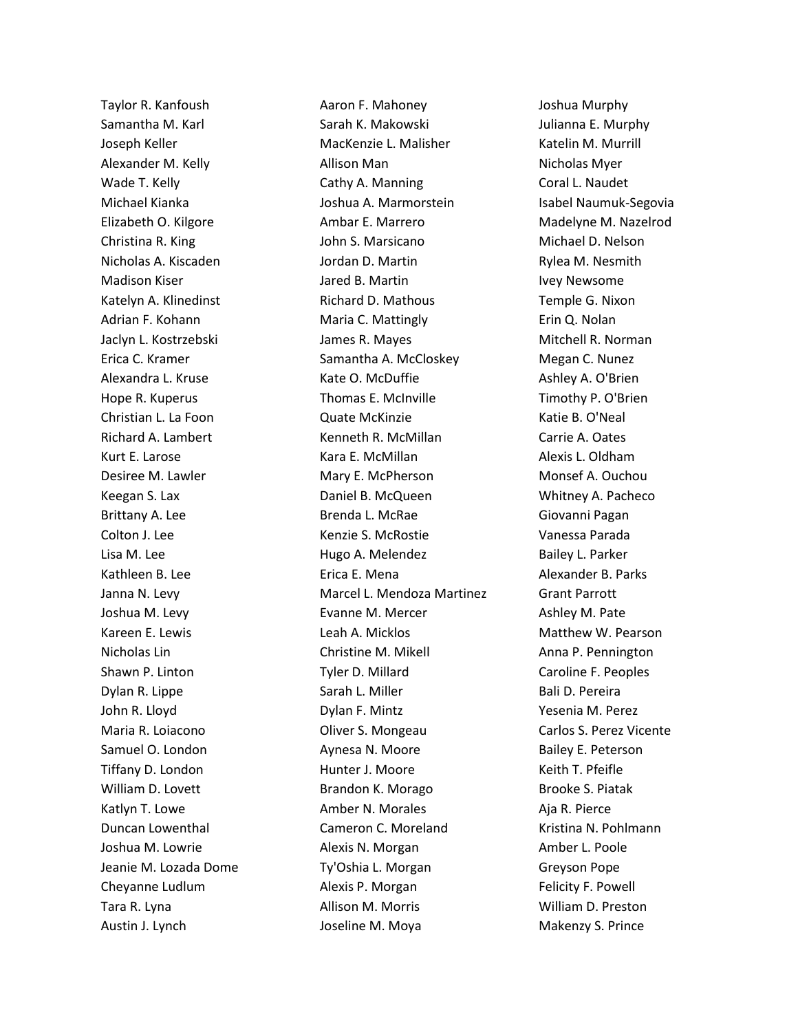Taylor R. Kanfoush Samantha M. Karl Joseph Keller Alexander M. Kelly Wade T. Kelly Michael Kianka Elizabeth O. Kilgore Christina R. King Nicholas A. Kiscaden Madison Kiser Katelyn A. Klinedinst Adrian F. Kohann Jaclyn L. Kostrzebski Erica C. Kramer Alexandra L. Kruse Hope R. Kuperus Christian L. La Foon Richard A. Lambert Kurt E. Larose Desiree M. Lawler Keegan S. Lax Brittany A. Lee Colton J. Lee Lisa M. Lee Kathleen B. Lee Janna N. Levy Joshua M. Levy Kareen E. Lewis Nicholas Lin Shawn P. Linton Dylan R. Lippe John R. Lloyd Maria R. Loiacono Samuel O. London Tiffany D. London William D. Lovett Katlyn T. Lowe Duncan Lowenthal Joshua M. Lowrie Jeanie M. Lozada Dome Cheyanne Ludlum Tara R. Lyna Austin J. Lynch

Aaron F. Mahoney Sarah K. Makowski MacKenzie L. Malisher Allison Man Cathy A. Manning Joshua A. Marmorstein Ambar E. Marrero John S. Marsicano Jordan D. Martin Jared B. Martin Richard D. Mathous Maria C. Mattingly James R. Mayes Samantha A. McCloskey Kate O. McDuffie Thomas E. McInville Quate McKinzie Kenneth R. McMillan Kara E. McMillan Mary E. McPherson Daniel B. McQueen Brenda L. McRae Kenzie S. McRostie Hugo A. Melendez Erica E. Mena Marcel L. Mendoza Martinez Evanne M. Mercer Leah A. Micklos Christine M. Mikell Tyler D. Millard Sarah L. Miller Dylan F. Mintz Oliver S. Mongeau Aynesa N. Moore Hunter J. Moore Brandon K. Morago Amber N. Morales Cameron C. Moreland Alexis N. Morgan Ty'Oshia L. Morgan Alexis P. Morgan Allison M. Morris Joseline M. Moya

Joshua Murphy Julianna E. Murphy Katelin M. Murrill Nicholas Myer Coral L. Naudet Isabel Naumuk-Segovia Madelyne M. Nazelrod Michael D. Nelson Rylea M. Nesmith Ivey Newsome Temple G. Nixon Erin Q. Nolan Mitchell R. Norman Megan C. Nunez Ashley A. O'Brien Timothy P. O'Brien Katie B. O'Neal Carrie A. Oates Alexis L. Oldham Monsef A. Ouchou Whitney A. Pacheco Giovanni Pagan Vanessa Parada Bailey L. Parker Alexander B. Parks Grant Parrott Ashley M. Pate Matthew W. Pearson Anna P. Pennington Caroline F. Peoples Bali D. Pereira Yesenia M. Perez Carlos S. Perez Vicente Bailey E. Peterson Keith T. Pfeifle Brooke S. Piatak Aja R. Pierce Kristina N. Pohlmann Amber L. Poole Greyson Pope Felicity F. Powell William D. Preston Makenzy S. Prince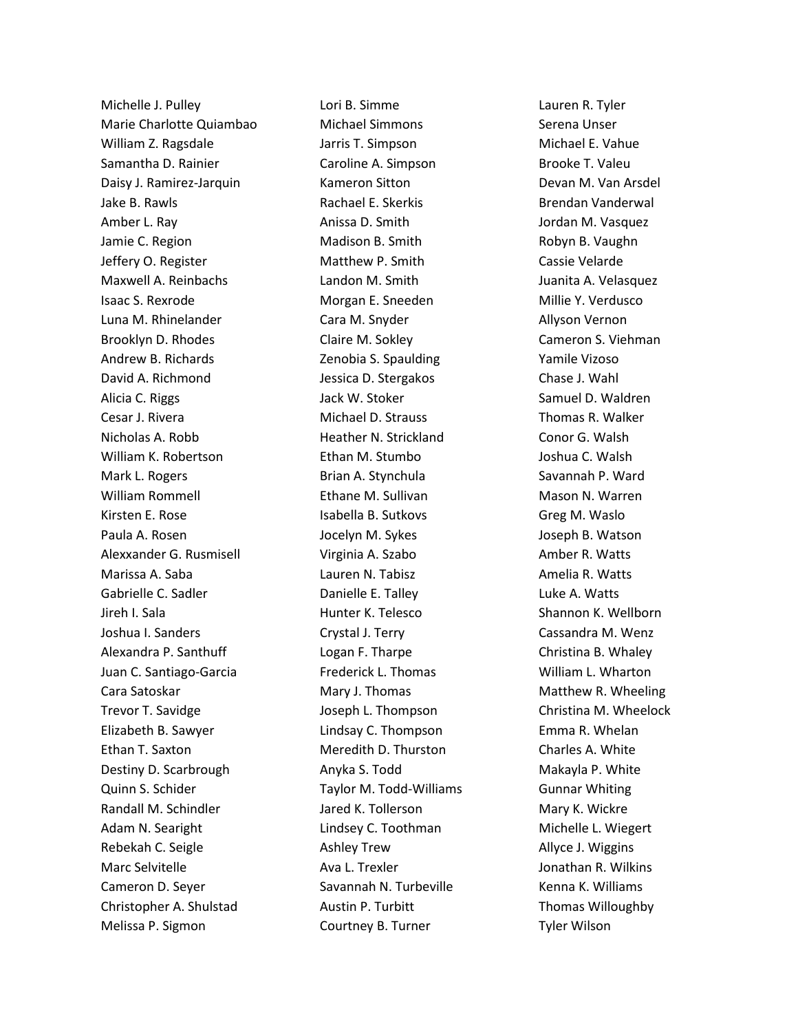Michelle J. Pulley Marie Charlotte Quiambao William Z. Ragsdale Samantha D. Rainier Daisy J. Ramirez-Jarquin Jake B. Rawls Amber L. Ray Jamie C. Region Jeffery O. Register Maxwell A. Reinbachs Isaac S. Rexrode Luna M. Rhinelander Brooklyn D. Rhodes Andrew B. Richards David A. Richmond Alicia C. Riggs Cesar J. Rivera Nicholas A. Robb William K. Robertson Mark L. Rogers William Rommell Kirsten E. Rose Paula A. Rosen Alexxander G. Rusmisell Marissa A. Saba Gabrielle C. Sadler Jireh I. Sala Joshua I. Sanders Alexandra P. Santhuff Juan C. Santiago-Garcia Cara Satoskar Trevor T. Savidge Elizabeth B. Sawyer Ethan T. Saxton Destiny D. Scarbrough Quinn S. Schider Randall M. Schindler Adam N. Searight Rebekah C. Seigle Marc Selvitelle Cameron D. Seyer Christopher A. Shulstad Melissa P. Sigmon

Lori B. Simme Michael Simmons Jarris T. Simpson Caroline A. Simpson Kameron Sitton Rachael E. Skerkis Anissa D. Smith Madison B. Smith Matthew P. Smith Landon M. Smith Morgan E. Sneeden Cara M. Snyder Claire M. Sokley Zenobia S. Spaulding Jessica D. Stergakos Jack W. Stoker Michael D. Strauss Heather N. Strickland Ethan M. Stumbo Brian A. Stynchula Ethane M. Sullivan Isabella B. Sutkovs Jocelyn M. Sykes Virginia A. Szabo Lauren N. Tabisz Danielle E. Talley Hunter K. Telesco Crystal J. Terry Logan F. Tharpe Frederick L. Thomas Mary J. Thomas Joseph L. Thompson Lindsay C. Thompson Meredith D. Thurston Anyka S. Todd Taylor M. Todd-Williams Jared K. Tollerson Lindsey C. Toothman Ashley Trew Ava L. Trexler Savannah N. Turbeville Austin P. Turbitt Courtney B. Turner

Lauren R. Tyler Serena Unser Michael E. Vahue Brooke T. Valeu Devan M. Van Arsdel Brendan Vanderwal Jordan M. Vasquez Robyn B. Vaughn Cassie Velarde Juanita A. Velasquez Millie Y. Verdusco Allyson Vernon Cameron S. Viehman Yamile Vizoso Chase J. Wahl Samuel D. Waldren Thomas R. Walker Conor G. Walsh Joshua C. Walsh Savannah P. Ward Mason N. Warren Greg M. Waslo Joseph B. Watson Amber R. Watts Amelia R. Watts Luke A. Watts Shannon K. Wellborn Cassandra M. Wenz Christina B. Whaley William L. Wharton Matthew R. Wheeling Christina M. Wheelock Emma R. Whelan Charles A. White Makayla P. White Gunnar Whiting Mary K. Wickre Michelle L. Wiegert Allyce J. Wiggins Jonathan R. Wilkins Kenna K. Williams Thomas Willoughby Tyler Wilson